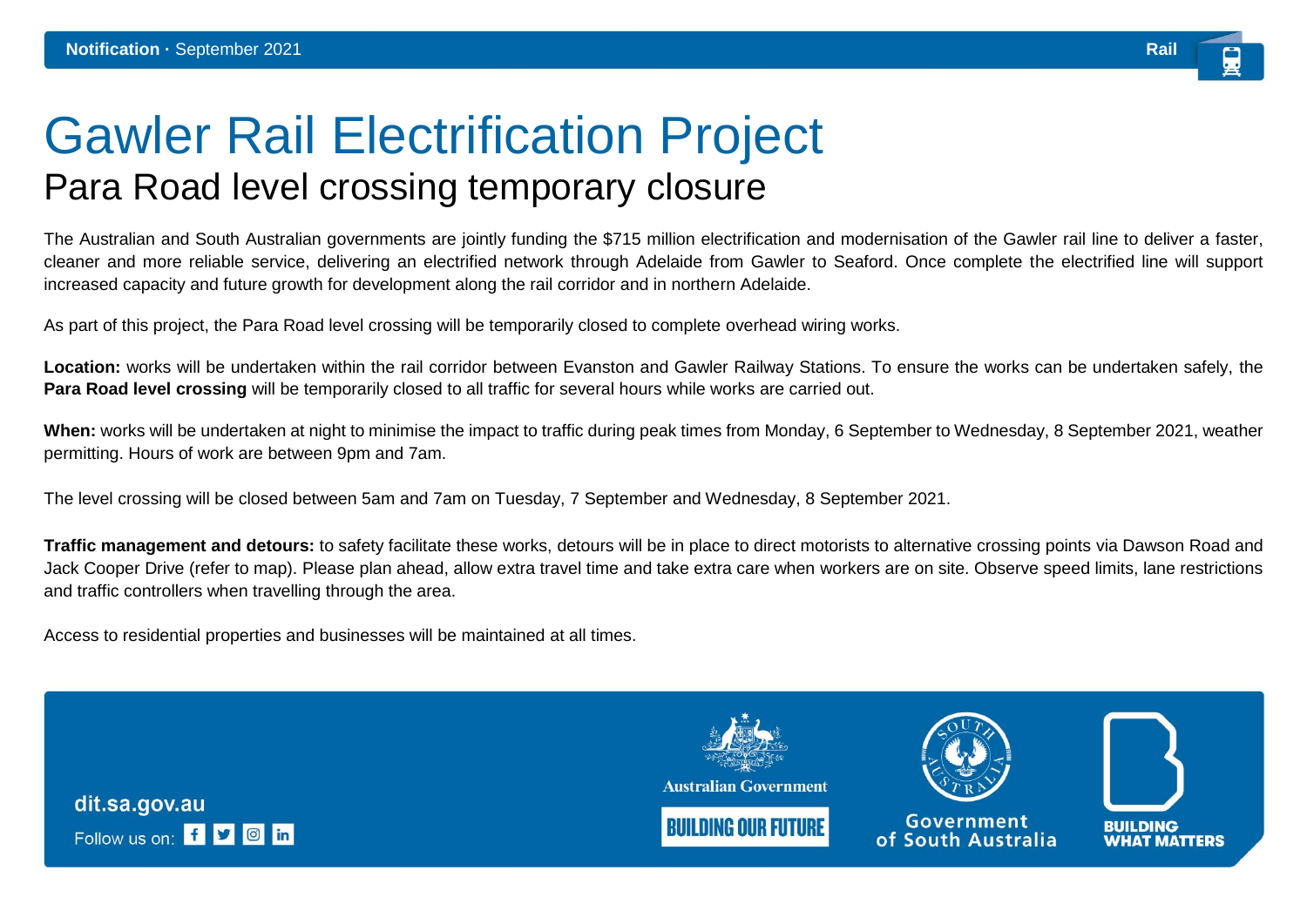## Gawler Rail Electrification Project Para Road level crossing temporary closure

The Australian and South Australian governments are jointly funding the \$715 million electrification and modernisation of the Gawler rail line to deliver a faster, cleaner and more reliable service, delivering an electrified network through Adelaide from Gawler to Seaford. Once complete the electrified line will support increased capacity and future growth for development along the rail corridor and in northern Adelaide.

As part of this project, the Para Road level crossing will be temporarily closed to complete overhead wiring works.

**Location:** works will be undertaken within the rail corridor between Evanston and Gawler Railway Stations. To ensure the works can be undertaken safely, the **Para Road level crossing** will be temporarily closed to all traffic for several hours while works are carried out.

**When:** works will be undertaken at night to minimise the impact to traffic during peak times from Monday, 6 September to Wednesday, 8 September 2021, weather permitting. Hours of work are between 9pm and 7am.

The level crossing will be closed between 5am and 7am on Tuesday, 7 September and Wednesday, 8 September 2021.

**Traffic management and detours:** to safety facilitate these works, detours will be in place to direct motorists to alternative crossing points via Dawson Road and Jack Cooper Drive (refer to map). Please plan ahead, allow extra travel time and take extra care when workers are on site. Observe speed limits, lane restrictions and traffic controllers when travelling through the area.

Access to residential properties and businesses will be maintained at all times.